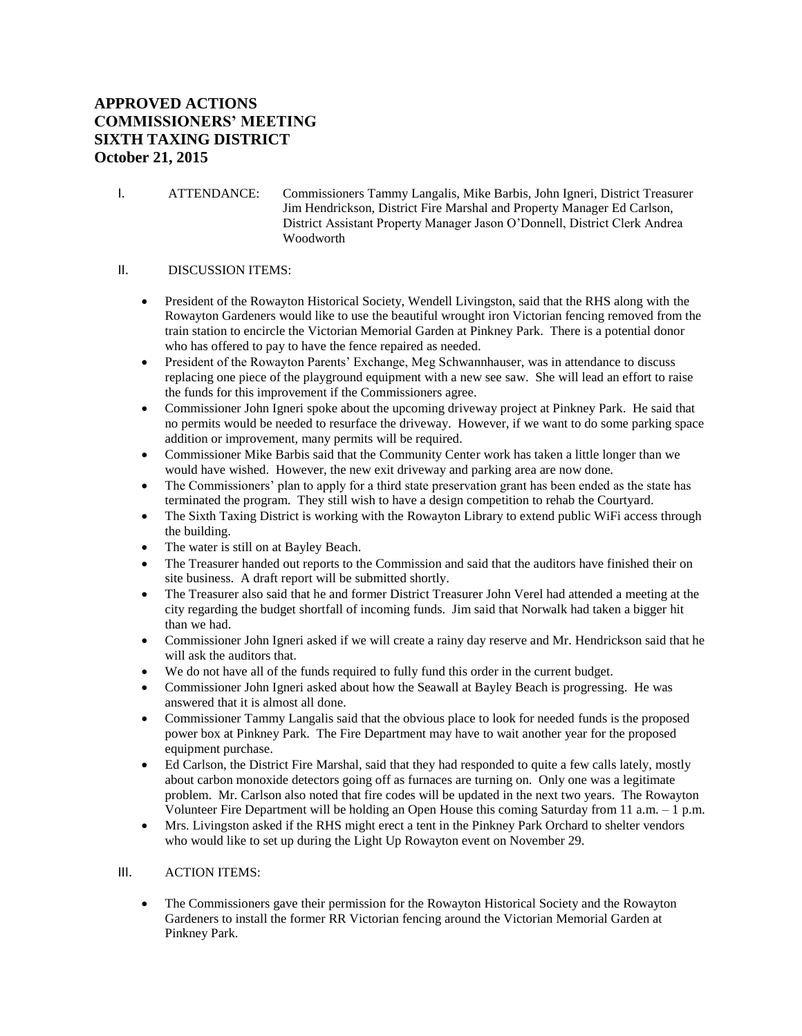## **APPROVED ACTIONS COMMISSIONERS' MEETING SIXTH TAXING DISTRICT October 21, 2015**

I. ATTENDANCE: Commissioners Tammy Langalis, Mike Barbis, John Igneri, District Treasurer Jim Hendrickson, District Fire Marshal and Property Manager Ed Carlson, District Assistant Property Manager Jason O'Donnell, District Clerk Andrea Woodworth

## II. DISCUSSION ITEMS:

- President of the Rowayton Historical Society, Wendell Livingston, said that the RHS along with the Rowayton Gardeners would like to use the beautiful wrought iron Victorian fencing removed from the train station to encircle the Victorian Memorial Garden at Pinkney Park. There is a potential donor who has offered to pay to have the fence repaired as needed.
- President of the Rowayton Parents' Exchange, Meg Schwannhauser, was in attendance to discuss replacing one piece of the playground equipment with a new see saw. She will lead an effort to raise the funds for this improvement if the Commissioners agree.
- Commissioner John Igneri spoke about the upcoming driveway project at Pinkney Park. He said that no permits would be needed to resurface the driveway. However, if we want to do some parking space addition or improvement, many permits will be required.
- Commissioner Mike Barbis said that the Community Center work has taken a little longer than we would have wished. However, the new exit driveway and parking area are now done.
- The Commissioners' plan to apply for a third state preservation grant has been ended as the state has terminated the program. They still wish to have a design competition to rehab the Courtyard.
- The Sixth Taxing District is working with the Rowayton Library to extend public WiFi access through the building.
- The water is still on at Bayley Beach.
- The Treasurer handed out reports to the Commission and said that the auditors have finished their on site business. A draft report will be submitted shortly.
- The Treasurer also said that he and former District Treasurer John Verel had attended a meeting at the city regarding the budget shortfall of incoming funds. Jim said that Norwalk had taken a bigger hit than we had.
- Commissioner John Igneri asked if we will create a rainy day reserve and Mr. Hendrickson said that he will ask the auditors that.
- We do not have all of the funds required to fully fund this order in the current budget.
- Commissioner John Igneri asked about how the Seawall at Bayley Beach is progressing. He was answered that it is almost all done.
- Commissioner Tammy Langalis said that the obvious place to look for needed funds is the proposed power box at Pinkney Park. The Fire Department may have to wait another year for the proposed equipment purchase.
- Ed Carlson, the District Fire Marshal, said that they had responded to quite a few calls lately, mostly about carbon monoxide detectors going off as furnaces are turning on. Only one was a legitimate problem. Mr. Carlson also noted that fire codes will be updated in the next two years. The Rowayton Volunteer Fire Department will be holding an Open House this coming Saturday from 11 a.m. – 1 p.m.
- Mrs. Livingston asked if the RHS might erect a tent in the Pinkney Park Orchard to shelter vendors who would like to set up during the Light Up Rowayton event on November 29.

## III. ACTION ITEMS:

 The Commissioners gave their permission for the Rowayton Historical Society and the Rowayton Gardeners to install the former RR Victorian fencing around the Victorian Memorial Garden at Pinkney Park.